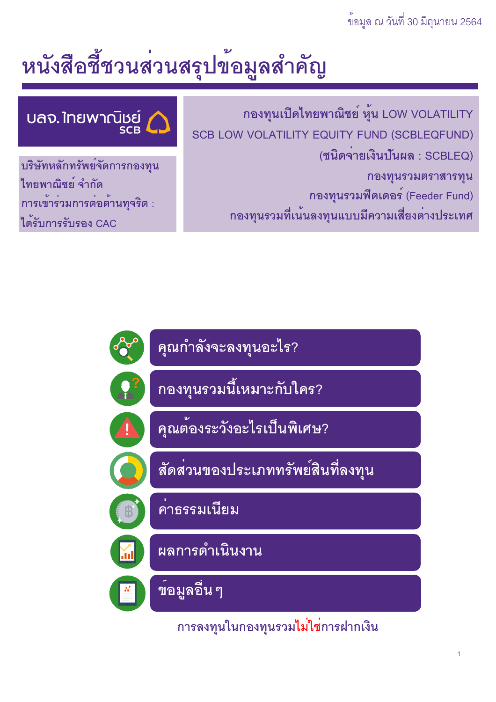## ข้อมูล ณ วันที่ 30 มิถุนายน 2564

# หนังสือชี้ชวนส่วนสรุปข้อมูลสำคัญ

กองทุนเปิดไทยพาณิชย์ หุ้น LOW VOLATILITY SCB LOW VOLATILITY EQUITY FUND (SCBLEQFUND) (ชนิดจายเงินปันผล : SCBLEQ) กองทุนรวมตราสารทุน กองทุนรวมฟิดเดอร์ (Feeder Fund) ึกองทุนรวมที่เน<sup>้</sup>นลงทุนแบบมีความเสี่ยงต<sup>่</sup>างประเทศ

้บลจ. ใทยพาณิชย์<br>เริงออ

บริษัทหลักทรัพย์จัดการกองทุน ไทยพาณิชย์ จำกัด การเข้าร่วมการต่อต้านทุจริต : ได*้*รับการรับรอง CAC



ิการลงทุนในกองทุนรวม<u>ไม่ใช</u>่การฝากเงิน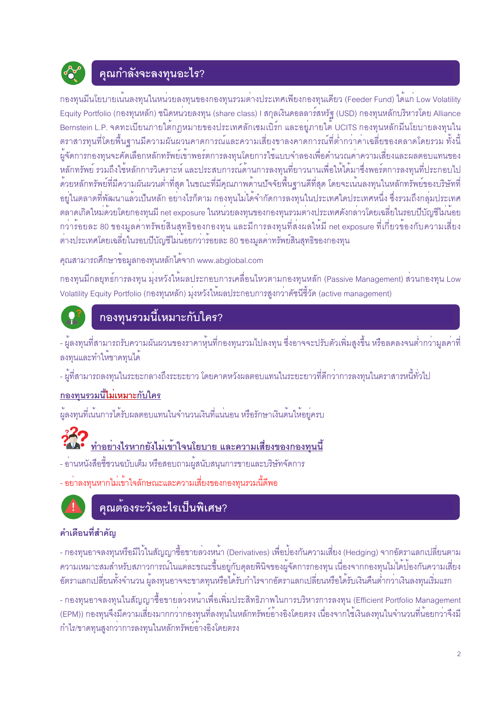

## คุณกำลังจะลงทุนอะไร?

ึกองทุนมีนโยบายเน<sup>้</sup>นลงทุนในหน<sup>่</sup>วยลงทุนของกองทุนรวมต<sup>่</sup>างประเทศเพียงกองทุนเดียว (Feeder Fund) ได้แก<sup>่</sup> Low Volatility Equity Portfolio (กองทุนหลัก) ชนิดหน<sup>่</sup>วยลงทุน (share class) I สกุลเงินดอลลาร์สหรัฐ (USD) กองทุนหลักบริหารโดย Alliance Bernstein L.P. จดทะเบียนภายใต้กฎหมายของประเทศลักเซมเบิร์ก และอยู่ภายใต้ UCITS กองทุนหลักมีนโยบายลงทุนใน ้ตราสารทุนที่โดยพื้นฐานมีความผันผวนคาดการณ์และความเสี่ยงขาลงคาดการณ์ที่ต่ำกว่าค่าเฉลี่ยของตลาดโดยรวม ทั้งนี้ ผู้จัดการกองทุนจะคัดเลือกหลักทรัพย์เข้าพอร์ตการลงทุนโดยการใช้แบบจำลองเพื่อคำนวณค่าความเสี่ยงและผลตอบแทนของ หลักทรัพย์ รวมถึงใช้หลักการวิเคราะห์ และประสบการณ์ด้านการลงทุนที่ยาวนานเพื่อให้ได้มาซึ่งพอร์ตการลงทุนที่ประกอบไป ้ด้วยหลักทรัพย์ที่มีความผันผวนต่ำที่สุด ในขณะที่มีคุณภาพด้านปัจจัยพื้นฐานดีที่สุด โดยจะเน้นลงทุนในหลักทรัพย์ของบริษัทที่ ้อยู่ในตลาดที่พัฒนาแล้วเป็นหลัก อย่างไรก็ตาม กองทุนไม่ได้จำกัดการลงทุนในประเทศใดประเทศหนึ่ง ซึ่งรวมถึงกลุ่มประเทศ ้ตลาดเกิดใหม่ด้วยโดยกองทุนมี net exposure ในหน่วยลงทุนของกองทุนรวมต่างประเทศดังกล**่าวโดยเฉลี่ยในรอบ**ปีบัญชีไม่น้อย ำกว่ารัอยละ 80 ของมูลค่าทรัพย์สินสุทธิของกองทุน และมีการลงทุนที่ส่งผลให้มี net exposure ที่เกี่ยวข้องกับความเสี่ยง ้ต่างประเทศโดยเฉลี่ยในรอบปีบัญชีไม่น้อยกว่าร้อยละ 80 ของมูลค่าทรัพย์สินสุทธิของกองทุน

้ คุณสามารถศึกษาข้อมูลกองทุนหลักได<sup>้</sup>จาก www.abglobal.com

ิกองทนมีกลยทธ์การลงทน มุ่งหวังให้ผลประกอบการเคลื่อนไหวตามกองทนหลัก (Passive Management) ส่วนกองทน Low Volatility Equity Portfolio (กองทุนหลัก) มุ่งหวังให้ผลประกอบการสูงกว<sup>่</sup>าดัชนีชี้วัด (active management)



## ึกองทุนรวมนี้เหมาะกับใคร?

- ผู้ลงทุนที่สามารถรับความผันผวนของราคาหุ้นที่กองทุนรวมไปลงทุน ซึ่งอาจจะปรับตัวเพิ่มสูงขึ้น หรือลดลงจนต่ำกว่ามูลค่าที่ ลงทุนและทำให้ขาดทุนได้

- ผู้ที่สามารถลงทุนในระยะกลางถึงระยะยาว โดยคาดหวังผลตอบแทนในระยะยาวที่ดีกว่าการลงทุนในตราสารหนี้ทั่วไป

#### <u>กองทุนรวมนี้ไม่เหมาะกับใคร</u>

้ผู้ลงทุนที่เน้นการได้รับผลตอบแทนในจำนวนเงินที่แน่นอน หรือรักษาเงินต้นให้อยู่ครบ

## <u>ทำอย่างไรหากยังไม่เข้าใจนโยบาย และความเสี่ยงของกองทุนนี้</u>

- อานหนังสือขี้ชวนฉบับเต็ม หรือสอบถามผู้สนับสนุนการขายและบริษัทจัดการ

- อย่าลงทุนหากไม่เข้าใจลักษณะและความเสี่ยงของกองทุนรวมนี้ดีพอ



## คุณต<sup>้</sup>องระวังอะไรเป็นพิเศษ?

### คำเตือนที่สำคัญ

- กองทุนอาจลงทุนหรือมีไว้ในสัญญาซื้อขายลวงหน้า (Derivatives) เพื่อป้องกันความเสี่ยง (Hedging) จากอัตราแลกเปลี่ยนตาม ้ ความเหมาะสมสำหรับสภาวการณ์ในแต่ละขณะขึ้นอยู่กับดุลยพินิจของผู้จัดการกองทุน เนื่องจากกองทุนไม่ได้ปองกันความเสี่ยง ้ อัตราแลกเปลี่ยนทั้งจำนวน ผู้ลงทุนอาจจะขาดทุนหรือได้รับกำไรจากอัตราแลกเปลี่ยนหรือได้รับเงินคืนต่ำกว่าเงินลงทุนเริ่มแรก

- กองทุนอาจลงทุนในสัญญาซื้อขายล<sup>่</sup>วงหน้าเพื่อเพิ่มประสิทธิภาพในการบริหารการลงทุน (Efficient Portfolio Management (EPM)) กองทุนจึงมีความเสี่ยงมากกว<sup>่</sup>ากองทุนที่ลงทุนในหลักทรัพย์อ<sup>้</sup>างอิงโดยตรง เนื่องจากใช<sup>้</sup>เงินลงทุนในจำนวนที่น<sup>้</sup>อยกว<sup>่</sup>าจึงมี ้กำไร/ขาดทุนสูงกว่าการลงทุนในหลักทรัพย์อ้างอิงโดยตรง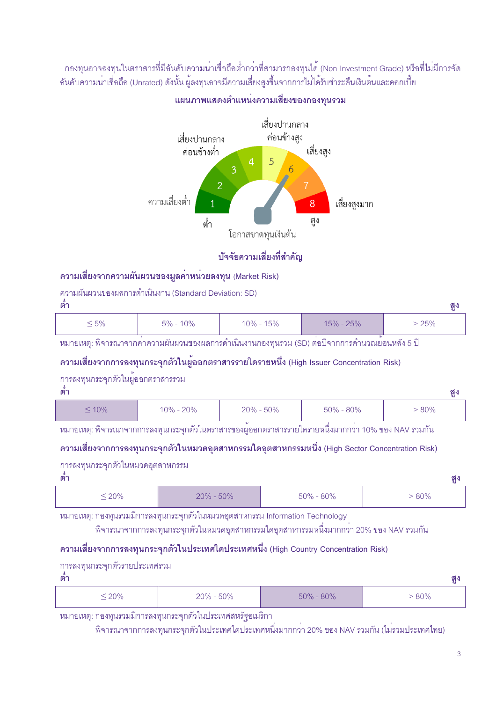- กองทุนอาจลงทุนในตราสารที่มีอันดับความนาเชื่อถือต่ำกวาที่สามารถลงทุนได<sup>้</sup> (Non-Investment Grade) หรือที่ไม<sup>่</sup>มีการจัด อันดับความน<sup>่</sup>าเชื่อถือ (Unrated) ดังนั้น ผู<sup>้</sup>ลงทุนอาจมีความเสี่ยงสูงขึ้นจากการไม่ได*้*รับชำระคืนเงินต<sup>ุ้</sup>นและดอกเบี้ย



#### แผนภาพแสดงตำแหน**่งความเสี่ยงของกองทุนรวม**

#### ้ป**ัจจัยความเสี่ยงที่สำคัญ**

#### ความเสี่ยงจากความผันผวนของมูลค<sup>่</sup>าหน<sup>่</sup>วยลงทุน (Market Risk)

ความผันผวนของผลการดำเนินงาน (Standard Deviation: SD)

**1)@ 2G**

|    |           |                  |              | $\sim$               |
|----|-----------|------------------|--------------|----------------------|
| 5% | 0%<br>E0/ | 5%<br>ີ າ $\%$ . | 250/<br>50/2 | <b>DE0/</b><br>∠U 70 |

หมายเหตุ: พิจารณาจากคาความผันผวนของผลการดำเนินงานกองทุนรวม (SD) ต<sup>่</sup>อปีจากการคำนวณย<sup>้</sup>อนหลัง 5 ปี

#### ความเสี่ยงจากการลงทุนกระจุกตัวในผู<sup>้</sup>ออกตราสารรายใดรายหนึ่ง (High Issuer Concentration Risk)

#### การลงทุนกระจุกตัวในผู<sup>้</sup>ออกตราสารรวม

| ตา          |           |               |               | ଶ୍ମୁ |
|-------------|-----------|---------------|---------------|------|
| $\leq 10\%$ | 10% - 20% | $20\% - 50\%$ | $50\% - 80\%$ | 80%  |

หมายเหตุ: พิจารณาจากการลงทุนกระจุกตัวในตราสารของผู<sup>้</sup>ออกตราสารรายใดรายหนึ่งมากกว<sup>่</sup>า 10% ของ NAV รวมกัน

#### ความเสี่ยงจากการลงทุนกระจุกตัวในหมวดอุตสาหกรรมใดอุตสาหกรรมหนึ่ง (High Sector Concentration Risk)

การลงทุนกระจุกตัวในหมวดอุตสาหกรรม

| ตา      |               |               | ä   |
|---------|---------------|---------------|-----|
| $≤ 20%$ | $20\% - 50\%$ | $50\% - 80\%$ | 80% |

หมายเหตุ: กองทุนรวมมีการลงทุนกระจุกตัวในหมวดอุตสาหกรรม Information Technology

พิจารณาจากการลงทุนกระจุกตัวในหมวดอุตสาหกรรมใดอุตสาหกรรมหนึ่งมากกว<sup>่</sup>า 20% ของ NAV รวมกัน

#### ความเสี่ยงจากการลงทุนกระจุกตัวในประเทศใดประเทศหนึ่ง (High Country Concentration Risk)

| การลงทุนกระจุกตัวรายประเทศรวม |               |               |       |
|-------------------------------|---------------|---------------|-------|
| ตา                            |               |               | ଶ୍ମୁ  |
| $\leq$ 20%                    | $20\% - 50\%$ | $50\% - 80\%$ | - 80% |

หมายเหตุ: กองทุนรวมมีการลงทุนกระจุกตัวในประเทศสหรัฐอเมริกา

พิจารณาจากการลงทุนกระจุกตัวในประเทศใดประเทศหนึ่งมากกว<sup>่</sup>า 20% ของ NAV รวมกัน (ไม**่**รวมประเทศไทย)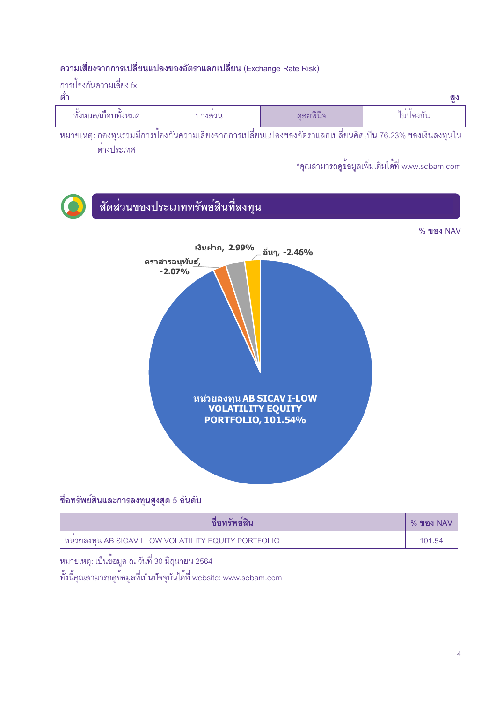#### ิ ความเสี่ยงจากการเปลี่ยนแปลงของอัตราแลกเปลี่ยน (Exchange Rate Risk)

| ่ การปองกันความเสียง fx<br>ิตา |        |          | ୍ରଦ୍ଧ    |
|--------------------------------|--------|----------|----------|
| ทั้งหมด/เกือบทั้งหมด           | บางสวน | ดลยพินิจ | ไมปองกัน |

ิหมายเหตุ: กองทุนรวมมีการป้องกันความเสี่ยงจากการเปลี่ยนแปลงของอัตราแลกเปลี่ยนคิดเป็น 76.23% ของเงินลงทุนใน ต่างประเทศ

\*คุณสามารถดูข้อมูลเพิ่มเติมได<sup>้</sup>ที่ www.scbam.com



### ชื่อทรัพย์สินและการลงทุนสูงสุด 5 อันดับ

| ชื่อทร์พยสิน                                           | $%$ ของ NAV |
|--------------------------------------------------------|-------------|
| ่ หนวยลงทุน AB SICAV I-LOW VOLATILITY EQUITY PORTFOLIO | 101.54      |

<u>หมายเหตุ</u>: เป็นข<sup>้</sup>อมูล ณ วันที่ 30 มิถุนายน 2564

ทั้งนี้คุณสามารถดูข้อมูลที่เป็นบัจจุบันได<sup>้</sup>ที่ website: www.scbam.com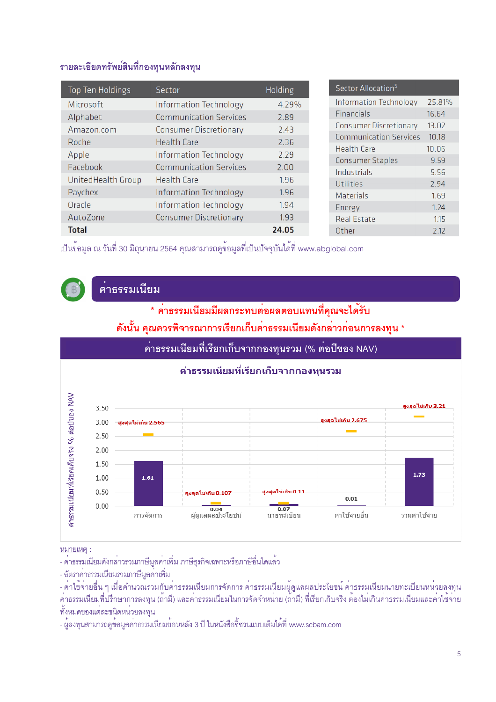#### รายละเอียดทรัพย์สินที่กองทุนหลักลงทุน

| Top Ten Holdings   | Sector                        | Holding |
|--------------------|-------------------------------|---------|
| Microsoft          | <b>Information Technology</b> | 4.29%   |
| Alphabet           | <b>Communication Services</b> | 2.89    |
| Amazon.com         | <b>Consumer Discretionary</b> | 2.43    |
| Roche              | <b>Health Care</b>            | 2.36    |
| Apple              | <b>Information Technology</b> | 2.29    |
| Facebook           | <b>Communication Services</b> | 2.00    |
| UnitedHealth Group | Health Care                   | 1.96    |
|                    |                               |         |
| Paychex            | Information Technology        | 1.96    |
| Oracle             | <b>Information Technology</b> | 1.94    |
| AutoZone           | <b>Consumer Discretionary</b> | 1.93    |
| <b>Total</b>       |                               | 24.05   |

เป็นข<sup>้</sup>อมูล ณ วันที่ 30 มิถุนายน 2564 คุณสามารถดูข้อมูลที่เป็นปัจจุบันได<sup>้</sup>ที่ www.abglobal.com



## ์<br><u>คา</u>ธรรมเนียม

\* คาธรรมเนียมมีผลกระทบต่อผลตอบแทนที่คุณจะได้รับ

## ้ดังนั้น คุณควรพิจารณาการเรียกเก็บค่าธรรมเนียมดังกล่าวก่อนการลงทุน \*



หมายเหต :

- คาธรรมเนียมดังกล่าวรวมภาษีมูลค่าเพิ่ม ภาษีธุรกิจเฉพาะหรือภาษีอื่นใดแล้ว

- อัตราค่าธรรมเนียมรวมภาษีมูลค่าเพิ่ม

ทั้งหมดของแต่ละชนิดหน่วยลงทุน

้<br>- ผู้ลงทุนสามารถดูข้อมูลค่าธรรมเนียมย้อนหลัง 3 ปี ในหนังสือชี้ชวนแบบเต็มได้ที่ www.scbam.com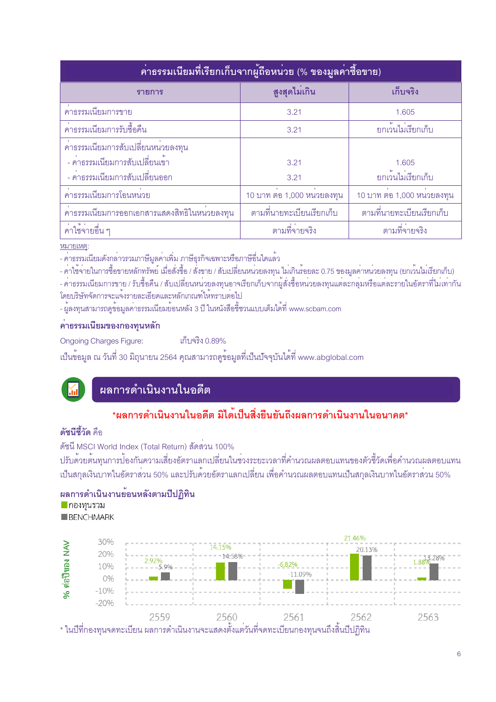| ้คาธรรมเนียมที่เรียกเก็บจากผู้ถือหน่วย (% ของมูลค่าซื้อขาย) |                           |                                 |  |  |  |  |  |  |  |
|-------------------------------------------------------------|---------------------------|---------------------------------|--|--|--|--|--|--|--|
| รายการ                                                      | สูงสุดไม่เกิน             | เก็บจริง                        |  |  |  |  |  |  |  |
| ้คาธรรมเนียมการขาย                                          | 3.21                      | 1.605                           |  |  |  |  |  |  |  |
| ้ค่าธรรมเนียมการรับซื้อคืน                                  | 3.21                      | ยกเว้นไม่เรียกเก็บ              |  |  |  |  |  |  |  |
| คาธรรมเนียมการสับเปลี่ยนหน่วยลงทุน                          |                           |                                 |  |  |  |  |  |  |  |
| - คาธรรมเนียมการสับเปลี่ยนเข้า                              | 3.21                      | 1.605                           |  |  |  |  |  |  |  |
| - คาธรรมเนียมการสับเปลี่ยนออก                               | 3.21                      | ยกเว <sup>้</sup> นไม่เรียกเก็บ |  |  |  |  |  |  |  |
| ้คาธรรมเนียมการโอนหน่วย                                     | 10 บาท ตอ 1,000 หนวยลงทุน | 10 บาท ตอ 1,000 หนวยลงทุน       |  |  |  |  |  |  |  |
| คาธรรมเนียมการออกเอกสารแสดงสิทธิในหนวยลงทุน                 | ตามที่นายทะเบียนเรียกเก็บ | ตามที่นายทะเบียนเรียกเก็บ       |  |  |  |  |  |  |  |
| ้ค่าใช้จ่ายอื่น ๆ                                           | ตามที่จ่ายจริง            | ตามที่จ่ายจริง                  |  |  |  |  |  |  |  |

#### หมายเหตะ

- ค่าธรรมเนียมดังกล่าวรวมภาษีมูลค่าเพิ่ม ภาษีธุรกิจเฉพาะหรือภาษีอื่นใดแล<sup>้</sup>ว

- คาใช้จ่ายในการซื้อขายหลักทรัพย์ เมื่อสั่งซื้อ / สั่งขาย / สับเปลี่ยนหน่วยลงทุน ไม่เกินรอยละ 0.75 ของมูลคาหน่วยลงทุน (ยกเว้นไม่เรียกเก็บ) - คาธรรมเนียมการขาย / รับซื้อคืน / สับเปลี่ยนหนวยลงทุนอาจเรียกเก็บจากผู้สั่งซื้อหนวยลงทุนแต่ละกลุ่มหรือแต่ละรายในอัตราที่ไม่เท่ากัน โดยบริษัทจัดการจะแจ้งรายละเอียดและหลักเกณฑ์ให้ทราบต่อไป

- ผู้ลงทุนสามารถดูข้อมูลค่าธรรมเนียมย้อนหลัง 3 ปี ในหนังสือชี้ชวนแบบเต็มได้ที่ www.scbam.com

#### คาธรรมเนียมของกองทุนหลัก

เก็บจริง 0.89% **Ongoing Charges Figure:** 

เป็นข<sup>้</sup>อมูล ณ วันที่ 30 มิถุนายน 2564 คุณสามารถดูข้อมูลที่เป็นปัจจุบันได<sup>้</sup>ที่ www.abglobal.com

## ้ผลการดำเนินงานในอดีต

## \*ผลการดำเนินงานในอดีต มิได<sup>้</sup>เป็นสิ่งยืนยันถึงผลการดำเนินงานในอนาคต\*

#### ดัศบีส์วัด คือ

ดัชนี MSCI World Index (Total Return) สัดสวน 100%

ปรับด้วยต้นทุนการป้องกันความเสี่ยงอัตราแลกเปลี่ยนในช<sup>่</sup>วงระยะเวลาที่คำนวณผลตอบแทนของตัวชี้วัดเพื่อคำนวณผลตอบแทน ้เป็นสกุลเงินบาทในอัตราส่วน 50% และปรับด้วยอัตราแลกเปลี่ยน เพื่อคำนวณผลตอบแทนเป็นสกุลเงินบาทในอัตราส่วน 50%

#### ผลการดำเนินงานย<sup>้</sup>อนหลังตามปีปฏิทิน

<u>•</u> กองทุนรวม

BENCHMARK

|        | 30%    |                                   |        |                              | 21.46%                                                                                                                  |          |
|--------|--------|-----------------------------------|--------|------------------------------|-------------------------------------------------------------------------------------------------------------------------|----------|
|        | 20%    |                                   | 14.15% |                              | 20.13%                                                                                                                  |          |
|        |        |                                   | 14.58% |                              |                                                                                                                         | 1.88%28% |
| ရွေ    | 10%    | !  2.92%<br>------5.9%----------- |        | $-6.82\%$                    |                                                                                                                         |          |
| ทื้อปี | 0%     |                                   |        | $-11.09\%$                   |                                                                                                                         |          |
|        | $-10%$ |                                   |        |                              |                                                                                                                         |          |
|        | $-20%$ |                                   |        |                              |                                                                                                                         |          |
| . ୩ ାଧ |        | 2559                              | 2560   | 2561<br>$\overrightarrow{a}$ | 2562<br>$\begin{array}{c} \n\mathbf{A} & \mathbf{B} \\ \mathbf{A} & \mathbf{A} \\ \mathbf{A} & \mathbf{A}\n\end{array}$ | 2563     |

\* ในปีที่กองทุนจดทะเบียน ผลการดำเนินงานจะแสดงตั้งแตวันที่จดทะเบียนกองทุนจนถึงสินปีปฏิทิน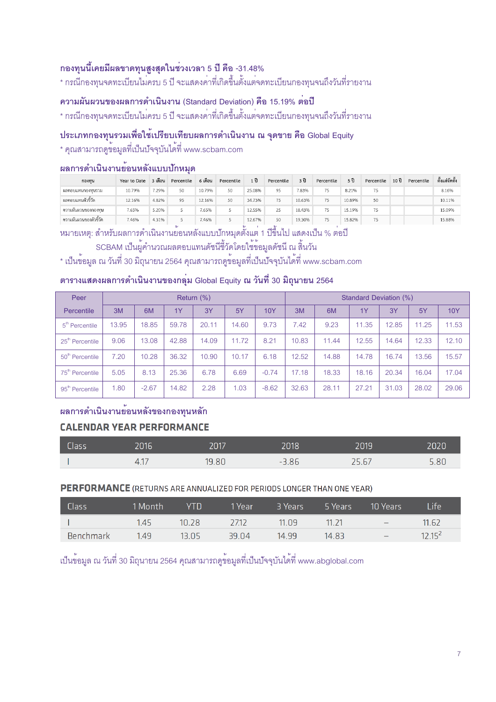#### กองทุนนี้เคยมีผลขาดทุนสูงสุดในช**่วงเวลา 5 ปี คือ -31.48%**

\* กรณีกองทุนจดทะเบียนไม**่**ครบ 5 ปี จะแสดงค<sup>่</sup>าที่เกิดขึ้นตั้งแต<sup>่</sup>จดทะเบียนกองทุนจนถึงวันที่รายงาน

#### ความผันผวนของผลการดำเนินงาน (Standard Deviation) คือ 15.19% ต<sup>่</sup>อปี

\* กรณีกองทุนจดทะเบียนไม**่**ครบ 5 ปี จะแสดงค<sup>่</sup>าที่เกิดขึ้นตั้งแต<sup>่</sup>จดทะเบียนกองทุนจนถึงวันที่รายงาน

#### ประเภทกองทุนรวมเพื่อใช<sup>้</sup>เปรียบเทียบผลการดำเนินงาน ณ จุดขาย คือ Global Equity

\* คุณสามารถดูข้อมูลที่เป็นปัจจุบันได<sup>้</sup>ที่ www.scbam.com

#### ผลการดำเนินงานย<sup>้</sup>อนหลังแบบป**้**กหมูด

| กองทน                  | Year to Date | 3 เดือน | Percentile | 6 เดือน | Percentile | 1 ปี   | Percentile | 3 ปี   | Percentile | 5 ปี   | Percentile | 10 ปี | Percentile | ตั้งแต่จัดตั้ง |
|------------------------|--------------|---------|------------|---------|------------|--------|------------|--------|------------|--------|------------|-------|------------|----------------|
| ผลตอบแทนกองทนรวม       | 10.79%       | 7.29%   | 50         | 10.79%  | 50         | 25.08% | 95         | 7.83%  | 75         | 8.21%  |            |       |            | 8.16%          |
| ผลตอบแทนตัวซี้วัด      | 12.16%       | 4.82%   | 95         | 12.16%  | 50         | 34.73% | 75         | 10.63% | 75         | 10.89% | 50         |       |            | 10.11%         |
| ความผันผวนของกองทน     | 7.65%        | 5.20%   |            | 7.65%   |            | 12.55% | 25         | 18.43% | 75         | 15.19% | 75         |       |            | 15.09%         |
| ความผันผวนของตัวชี้วัด | 7.46%        | 4.31%   |            | 7.46%   |            | 12.67% | 50         | 19.30% | 75         | 15.82% | 75         |       |            | 15.88%         |

.<br>หมายเหตุ: สำหรับผลการดำเนินงานย<sup>้</sup>อนหลังแบบปักหมุดตั้งแต<sup>่</sup> 1 ปีขึ้นไป แสดงเป็น % ต<sup>่</sup>อปี

#### SCBAM เป็นผู<sup>้</sup>คำนวณผลตอบแทนดัชนีชี้วัดโดยใช<sub>้</sub>ข้อมูลดัชนี ณ สิ้นวัน

\* เป็นข<sup>้</sup>อมูล ณ วันที่ 30 มิถุนายน 2564 คุณสามารถดูข<sup>้</sup>อมูลที่เป็นปัจจุบันได<sup>้</sup>ที่ www.scbam.com

#### ตารางแสดงผลการดำเนินงานของกลุ**่**ม Global Equity ณ วันที่ 30 มิถุนายน 2564

| Peer                        | Return (%) |         |       |       |       |         | Standard Deviation (%) |       |       |       |       |            |
|-----------------------------|------------|---------|-------|-------|-------|---------|------------------------|-------|-------|-------|-------|------------|
| Percentile                  | 3M         | 6M      | 1Y    | 3Y    | 5Y    | 10Y     | 3M                     | 6M    | 1Y    | 3Y    | 5Y    | <b>10Y</b> |
| 5 <sup>th</sup> Percentile  | 13.95      | 18.85   | 59.78 | 20.11 | 14.60 | 9.73    | 7.42                   | 9.23  | 11.35 | 12.85 | 11.25 | 11.53      |
| 25 <sup>th</sup> Percentile | 9.06       | 13.08   | 42.88 | 14.09 | 11.72 | 8.21    | 10.83                  | 11.44 | 12.55 | 14.64 | 12.33 | 12.10      |
| 50 <sup>th</sup> Percentile | 7.20       | 10.28   | 36.32 | 10.90 | 10.17 | 6.18    | 12.52                  | 14.88 | 14.78 | 16.74 | 13.56 | 15.57      |
| 75 <sup>th</sup> Percentile | 5.05       | 8.13    | 25.36 | 6.78  | 6.69  | $-0.74$ | 17.18                  | 18.33 | 18.16 | 20.34 | 16.04 | 17.04      |
| 95 <sup>th</sup> Percentile | 1.80       | $-2.67$ | 14.82 | 2.28  | 1.03  | $-8.62$ | 32.63                  | 28.11 | 27.21 | 31.03 | 28.02 | 29.06      |

#### ี่ผลการดำเนินงานย*้*อนหลังของกองทุนหลัก

#### **CALENDAR YEAR PERFORMANCE**

| <b>Class</b> | 2016         | 2017  | 2018 | 2019  | 2020 |
|--------------|--------------|-------|------|-------|------|
|              | $4^1$<br>T.L | 19.80 | 3.86 | 25.67 | 5.80 |

#### **PERFORMANCE** (RETURNS ARE ANNUALIZED FOR PERIODS LONGER THAN ONE YEAR)

| <b>Class</b>     | 1 Month | VTN   | 1 Year | 3 Years | 5 Years | 10 Years                 | Life     |
|------------------|---------|-------|--------|---------|---------|--------------------------|----------|
|                  | 1.45    | 10.28 | 27.12  | 11.09   | 11 21   | $-$                      | 11.62    |
| <b>Benchmark</b> | 149     | 13.05 | 39.04  | 14.99   | 14.83   | $\overline{\phantom{0}}$ | $1215^2$ |

เป็นข<sup>้</sup>อมูล ณ วันที่ 30 มิถุนายน 2564 คุณสามารถดูข<sup>้</sup>อมูลที่เป็นปัจจุบันได<sub>้</sub>ที่ www.abglobal.com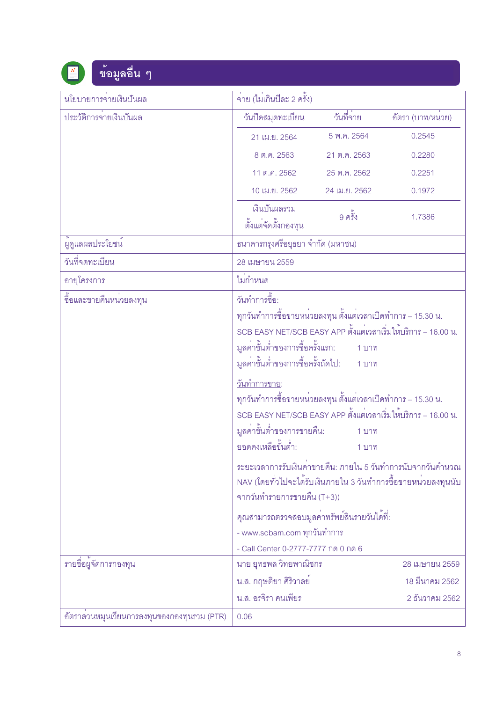## ข้อมูลอื่น ๆ

| นโยบายการจายเงินปันผล                       | จ่าย (ไม่เกินปีละ 2 ครั้ง)                                                                                                                                                                                                                                                                                                                                                                                                                                       |                                     |                                                                                                                                                                                                             |
|---------------------------------------------|------------------------------------------------------------------------------------------------------------------------------------------------------------------------------------------------------------------------------------------------------------------------------------------------------------------------------------------------------------------------------------------------------------------------------------------------------------------|-------------------------------------|-------------------------------------------------------------------------------------------------------------------------------------------------------------------------------------------------------------|
| ประวัติการจายเงินปันผล                      | วันปิดสมุดทะเบียน                                                                                                                                                                                                                                                                                                                                                                                                                                                | วันที่จ่าย                          | อัตรา (บาท/หนวย)                                                                                                                                                                                            |
|                                             | 21 เม.ย. 2564                                                                                                                                                                                                                                                                                                                                                                                                                                                    | 5 พ.ค. 2564                         | 0.2545                                                                                                                                                                                                      |
|                                             | 8 ต.ค. 2563                                                                                                                                                                                                                                                                                                                                                                                                                                                      | 21 ต.ค. 2563                        | 0.2280                                                                                                                                                                                                      |
|                                             | 11 ต.ค. 2562                                                                                                                                                                                                                                                                                                                                                                                                                                                     | 25 ต.ค. 2562                        | 0.2251                                                                                                                                                                                                      |
|                                             | 10 เม.ย. 2562                                                                                                                                                                                                                                                                                                                                                                                                                                                    | 24 เม.ย. 2562                       | 0.1972                                                                                                                                                                                                      |
|                                             | เงินปันผลรวม<br>ตั้งแต่จัดตั้งกองทุน                                                                                                                                                                                                                                                                                                                                                                                                                             | 9 ครั้ง                             | 1.7386                                                                                                                                                                                                      |
| ผู้ดูแลผลประโยชน์                           | ธนาคารกรุงศรีอยุธยา จำกัด (มหาชน)                                                                                                                                                                                                                                                                                                                                                                                                                                |                                     |                                                                                                                                                                                                             |
| วันที่จดทะเบียน                             | 28 เมษายน 2559                                                                                                                                                                                                                                                                                                                                                                                                                                                   |                                     |                                                                                                                                                                                                             |
| อายุโครงการ                                 | ไม่กำหนด                                                                                                                                                                                                                                                                                                                                                                                                                                                         |                                     |                                                                                                                                                                                                             |
| ชื้อและขายคืนหน่วยลงทุน                     | <u>วันทำการขี้อ</u> :<br>ทุกวันทำการซื้อขายหน <sup>่</sup> วยลงทุน ตั้งแต <sup>่</sup> เวลาเปิดทำการ – 15.30 น.<br>มูลค่าขั้นต่ำของการซื้อครั้งแรก:<br>มูลค่าขั้นต่ำของการซื้อครั้งถัดไป:<br><u>วันทำการขาย</u> :<br>ทุกวันทำการซื้อขายหน <sup>่</sup> วยลงทุน ตั้งแต <sup>่</sup> เวลาเปิดทำการ – 15.30 น.<br>SCB EASY NET/SCB EASY APP ตั้งแต่เวลาเริ่มให้บริการ – 16.00 น.<br>มูลค่าขั้นต่ำของการขายคืน:<br>ยอดคงเหลือขั้นต่ำ:<br>จากวันทำรายการขายคืน (T+3)) | 1 บาท<br>ี่ 1 บาท<br>1 บาท<br>1 บาท | SCB EASY NET/SCB EASY APP ตั้งแต่เวลาเริ่มให้บริการ – 16.00 น.<br>ระยะเวลาการรับเงินคาขายคืน: ภายใน 5 วันทำการนับจากวันคำนวณ<br>NAV (โดยทั่วไปจะได้รับเงินภายใน 3 วันทำการซื้อขายหน <sup>่</sup> วยลงทุนนับ |
|                                             | คุณสามารถตรวจสอบมูลคาทรัพย์สินรายวันได <sup>้</sup> ที่:<br>- www.scbam.com ทุกวันทำการ<br>- Call Center 0-2777-7777 กด 0 กด 6                                                                                                                                                                                                                                                                                                                                   |                                     |                                                                                                                                                                                                             |
| รายชื่อผู <sup>้</sup> จัดการกองทุน         | นาย ยุทธพล วิทยพาณิชกร                                                                                                                                                                                                                                                                                                                                                                                                                                           |                                     | 28 เมษายน 2559                                                                                                                                                                                              |
|                                             | น.ส. กฤษติยา ศิริวาลย                                                                                                                                                                                                                                                                                                                                                                                                                                            |                                     | 18 มีนาคม 2562                                                                                                                                                                                              |
|                                             | น.ส. อรจิรา คนเพียร                                                                                                                                                                                                                                                                                                                                                                                                                                              |                                     | 2 ธันวาคม 2562                                                                                                                                                                                              |
| อัตราสวนหมุนเวียนการลงทุนของกองทุนรวม (PTR) | 0.06                                                                                                                                                                                                                                                                                                                                                                                                                                                             |                                     |                                                                                                                                                                                                             |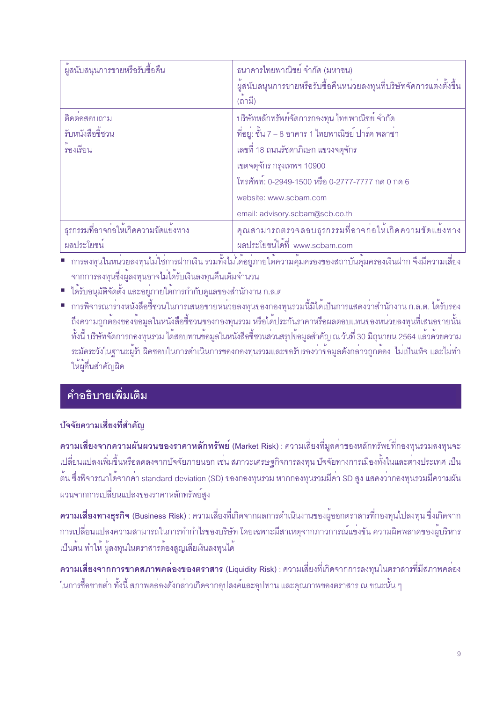| ผู้สนับสนุนการขายหรือรับซื้อคืน              | ธนาคารไทยพาณิชย์ จำกัด (มหาชน)<br>ผู้สนับสนุนการขายหรือรับซื้อคืนหน่วยลงทุนที่บริษัทจัดการแต่งตั้งขึ้น<br>(ถามี) |
|----------------------------------------------|------------------------------------------------------------------------------------------------------------------|
| ติดตอสอบถาม                                  | บริษัทหลักทรัพย์จัดการกองทุน ไทยพาณิชย์ จำกัด                                                                    |
| รับหนังสือขี้ชวน                             | ที่อยู่: ชั้น 7 – 8 อาคาร 1 ไทยพาณิชย์ ปาร์ค พลาซ่า                                                              |
| ้รองเรียน                                    | เลขที่ 18 ถนนรัชดาภิเษก แขวงจตุจักร                                                                              |
|                                              | เขตจตุจักร กรุงเทพฯ 10900                                                                                        |
|                                              | โทรศัพท์: 0-2949-1500 หรือ 0-2777-7777 กด 0 กด 6                                                                 |
|                                              | website: www.scbam.com                                                                                           |
|                                              | email: advisory.scbam@scb.co.th                                                                                  |
| <u> ธุรกรรมที่อาจก่อให้เกิดความขัดแยงทาง</u> | คุณสามารถตรวจสอบธุรกรรมที่อาจก่อให้เกิดความขัดแย้งทาง                                                            |
| ผลประโยชน                                    | ผลประโยชน์ได้ที่ www.scbam.com                                                                                   |

์<br>■ การลงทุนในหน่วยลงทุนไม่ใช<sup>่</sup>การฝากเงิน รวมทั้งไม่ได้อยู่ภายใต<sup>้</sup>ความคุ้มครองของสถาบันคุ้มครองเงินฝาก จึงมีความเสี่ยง ิจากการลงทุนซึ่งผู้ลงทุนอาจไม่ได้รับเงินลงทุนคืนเต็มจำนวน

- ได้รับอนุมัติจัดตั้ง และอยู่ภายใต้การกำกับดูแลของสำนักงาน ก.ล.ต
- การพิจารณารางหนังสือชี้ชวนในการเสนอขายหน่วยลงทุนของกองทุนรวมนี้มิได<sup>้</sup>เป็นการแสดงว<sup>่</sup>าสำนักงาน ก.ล.ต. ได้รับรอง ้ถึงความถูกต้องของข้อมูลในหนังสือชี้ชวนของกองทุนรวม หรือได้ประกันราคาหรือผลตอบแทนของหน่วยลงทุนที่เสนอขายนั้น ้ทั้งนี้ บริษัทจัดการกองทุนรวม ได้สอบทานข้อมูลในหนังสือชี้ชวนส่วนสรุปข้อมูลสำคัญ ณ วันที่ 30 มิถุนายน 2564 แล้วด้วยความ ระมัดระวังในฐานะผู้รับผิดชอบในการดำเนินการของกองทุนรวมและขอรับรองว่าข้อมูลดังกล่าวถูกต้อง ไม่เป็นเท็จ และไม่ทำ ให้ผู้อื่นลำคัญผิด

## <u>์</u><br>คำอธิบายเพิ่มเติม

#### บัจจัยความเสี่ยงที่สำคัญ

ี ความเสี่ยงจากความผันผวนของราคาหลักทรัพย์ (Market Risk) : ความเสี่ยงที่มูลค่าของหลักทรัพย์ที่กองทุนรวมลงทุนจะ ้ เปลี่ยนแปลงเพิ่มขึ้นหรือลดลงจากปัจจัยภายนอก เช่น สภาวะเศรษฐกิจการลงทุน ปัจจัยทางการเมืองทั้งในและต่างประเทศ เป็น ์ต้น ซึ่งพิจารณาได้จากค่า standard deviation (SD) ของกองทุนรวม หากกองทุนรวมมีค่า SD สูง แสดงว่ากองทุนรวมมีความผัน ผวนจากการเปลี่ยนแปลงของราคาหลักทรัพย์สูง

<mark>ความเสี่ยงทางธุรกิจ (Business Risk)</mark> : ความเสี่ยงที่เกิดจากผลการดำเนินงานของผู้ออกตราสารที่กองทุนไปลงทุน ซึ่งเกิดจาก ้การเปลี่ยนแปลงความสามารถในการทำกำไรของบริษัท โดยเฉพาะมีสาเหตุจากภาวการณ์แข่งขัน ความผิดพลาดของผู้บริหาร เป็นต้น ทำให<sup>้</sup> ผู้ลงทุนในตราสารต้องสูญเสียเงินลงทุนได<sup>้</sup>

ี ความเสี่ยงจากการขาดสภาพคลองของตราสาร (Liquidity Risk) : ความเสี่ยงที่เกิดจากการลงทุนในตราสารที่มีสภาพคล่อง ในการซื้อขายต่ำ ทั้งนี้ สภาพคลองดังกล่าวเกิดจากอุปสงค์และอุปทาน และคุณภาพของตราสาร ณ ขณะนั้น ๆ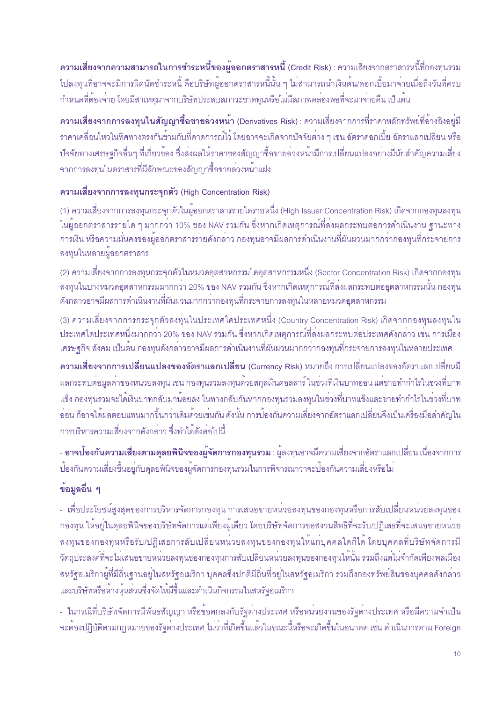่ ความเสี่ยงจากความสามารถในการชำระหนี้ของผู้ออกตราสารหนี้ (Credit Risk) : ความเสี่ยงจากตราสารหนี้ที่กองทุนรวม ้ไปลงทุนที่อาจจะมีการผิดนัดชำระหนี้ คือบริษัทผู้ออกตราสารหนี้นั้น ๆ ไม<sup>่</sup>สามารถนำเงินต<sup>้</sup>น/ดอกเบี้ยมาจ<sup>่</sup>ายเมื่อถึงวันที่ครบ ้กำหนดที่ต้องจ่าย โดยมีสาเหตุมาจากบริษัทประสบสภาวะขาดทุนหรือไม่มีสภาพคล่องพอที่จะมาจ่ายคืน เป็นต้น

์ <mark>ความเสี่ยงจากการลงทุนในสัญญาซื้อขายล<sup>่</sup>วงหน้า</mark> (Derivatives Risk) : ความเสี่ยงจากการที่ราคาหลักทรัพย์ที่อ<sup>้</sup>างอิงอยู่มี ิ ราคาเคลื่อนไหวในทิศทางตรงกันข้ามกับที่คาดการณ์ไว้ โดยอาจจะเกิดจากปัจจัยต่าง ๆ เช่น อัตราดอกเบี้ย อัตราแลกเปลี่ยน หรือ ้ ปัจจัยทางเศรษฐกิจอื่นๆ ที่เกี่ยวข้อง ซึ่งส่งผลให้ราคาของสัญญาซื้อขายล่วงหน้ามีการเปลี่ยนแปลงอย่างมีนัยสำคัญความเสี่ยง ิจากการลงทนในตราสารที่มีลักษณะของสัญญาซื้อขายลวงหน้าแฝง

#### ความเสี่ยงจากการลงทุนกระจุกตัว (High Concentration Risk)

(1) ความเสี่ยงจากการลงทุนกระจุกตัวในผู้ออกตราสารรายใดรายหนึ่ง (High Issuer Concentration Risk) เกิดจากกองทุนลงทุน ์ ในผู้ออกตราสารรายใด ๆ มากกว<sup>่</sup>า 10% ของ NAV รวมกัน ซึ่งหากเกิดเหตุการณ์ที่ส่งผลกระทบต่อการดำเนินงาน ฐานะทาง ิการเงิน หรือความมั่นคงของผู้ออกตราสารรายดังกล่าว กองทุนอาจมีผลการดำเนินงานที่ผันผวนมากกว่ากองทุนที่กระจายการ ิลงทุนในหลายผู้ออกตราสาร

(2) ความเสี่ยงจากการลงทุนกระจุกตัวในหมวดอุตสาหกรรมใดอุตสาหกรรมหนึ่ง (Sector Concentration Risk) เกิดจากกองทุน ิ ลงทุนในบางหมวดอุตสาหกรรมมากกว่า 20% ของ NAV รวมกัน ซึ่งหากเกิดเหตุการณ์ที่ส่งผลกระทบต่ออุตสาหกรรมนั้น กองทุน ้ดังกล่าวอาจมีผลการดำเนินงานที่ผันผวนมากกว่ากองทุนที่กระจายการลงทุนในหลายหมวดอุตสาหกรรม

(3) ความเสี่ยงจากการกระจุกตัวลงทุนในประเทศใดประเทศหนึ่ง (Country Concentration Risk) เกิดจากกองทุนลงทุนใน ู ประเทศใดประเทศหนึ่งมากกว<sup>่</sup>า 20% ของ NAV รวมกัน ซึ่งหากเกิดเหตุการณ์ที่ส่งผลกระทบต<sup>่</sup>อประเทศดังกล**่าว เช**่น การเมือง ้ เศรษฐกิจ สังคม เป็นต้น กองทุนดังกล่าวอาจมีผลการดำเนินงานที่ผันผวนมากกว่ากองทุนที่กระจายการลงทุนในหลายประเทศ

ี ความเสี่ยงจากการเปลี่ยนแปลงของอัตราแลกเปลี่ยน (Currency Risk) หมายถึง การเปลี่ยนแปลงของอัตราแลกเปลี่ยนมี ้ผลกระทบต่อมูลค่าของหน่วยลงทุน เช่น กองทุนรวมลงทุนด้วยสกุลเงินดอลลาร์ ในช่วงที่เงินบาทอ่อน แต่ขายทำกำไรในช่วงที่บาท ้แข็ง กองทุนรวมจะได้เงินบาทกลับมาน้อยลง ในทางกลับกันหากกองทุนรวมลงทุนในช่วงที่บาทแข็งและขายทำกำไรในช่วงที่บาท ้ออน ก็อาจได้ผลตอบแทนมากขึ้นกว่าเดิมด้วยเช่นกัน ดังนั้น การป้องกันความเสี่ยงจากอัตราแลกเปลี่ยนจึงเป็นเครื่องมือสำคัญใน ้การบริหารความเสี่ยงจากดังกล่าว ซึ่งทำได้ดังต่อไปนี้

- **อาจบ้องกันความเสี่ยงตามดุลยพินิจของผู<sup>้</sup>จัดการกองทุนรวม** : ผู้ลงทุนอาจมีความเสี่ยงจากอัตราแลกเปลี่ยน เนื่องจากการ บ้องกันความเสี่ยงขึ้นอยู่กับดุลยพินิจของผู<sup>้</sup>จัดการกองทุนรวมในการพิจารณาว<sup>่</sup>าจะป้องกันความเสี่ยงหรือไม<sup>่</sup>

#### ข้อมูลอื่น ๆ

- เพื่อประโยชน์สูงสุดของการบริหารจัดการกองทุน การเสนอขายหน่วยลงทุนของกองทุนหรือการสับเปลี่ยนหน่วยลงทุนของ ึกองทุน ให้อยู่ในดุลยพินิจของบริษัทจัดการแต่เพียงผู้เดียว โดยบริษัทจัดการขอสงวนสิทธิที่จะรับ/ปฎิเสธที่จะเสนอขายหน่วย ้ลงทุนของกองทุนหรือรับ/ปฏิเสธการสับเปลี่ยนหน่วยลงทุนของกองทุนให้แก่บุคคลใดก็ได้ โดยบุคคลที่บริษัทจัดการมี ้วัตถุประสงค์ที่จะไม่เสนอขายหน่วยลงทุนของกองทุนการสับเปลี่ยนหน่วยลงทุนของกองทุนให้นั้น รวมถึงแต่ไม่จำกัดเพียงพลเมือง สหรัฐอเมริกาผู้ที่มีถิ่นฐานอยู่ในสหรัฐอเมริกา บุคคลซึ่งปกติมีถิ่นที่อยู่ในสหรัฐอเมริกา รวมถึงกองทรัพย์สินของบุคคลดังกล่าว และบริษัทหรือห้างหุ้นส่วนซึ่งจัดให้มีขึ้นและดำเนินกิจกรรมในสหรัฐอเมริกา

- ในกรณีที่บริษัทจัดการมีพันธสัญญา หรือข้อตกลงกับรัฐต<sup>่</sup>างประเทศ หรือหน<sup>่</sup>วยงานของรัฐต<sup>่</sup>างประเทศ หรือมีความจำเป็น จะต้องปฏิบัติตามกฎหมายของรัฐต<sup>่</sup>างประเทศ ไม**่ว**่าที่เกิดขึ้นแล**้วในขณะนี้หรือจะเกิดขึ้นในอนาคต เช**่น ดำเนินการตาม Foreign